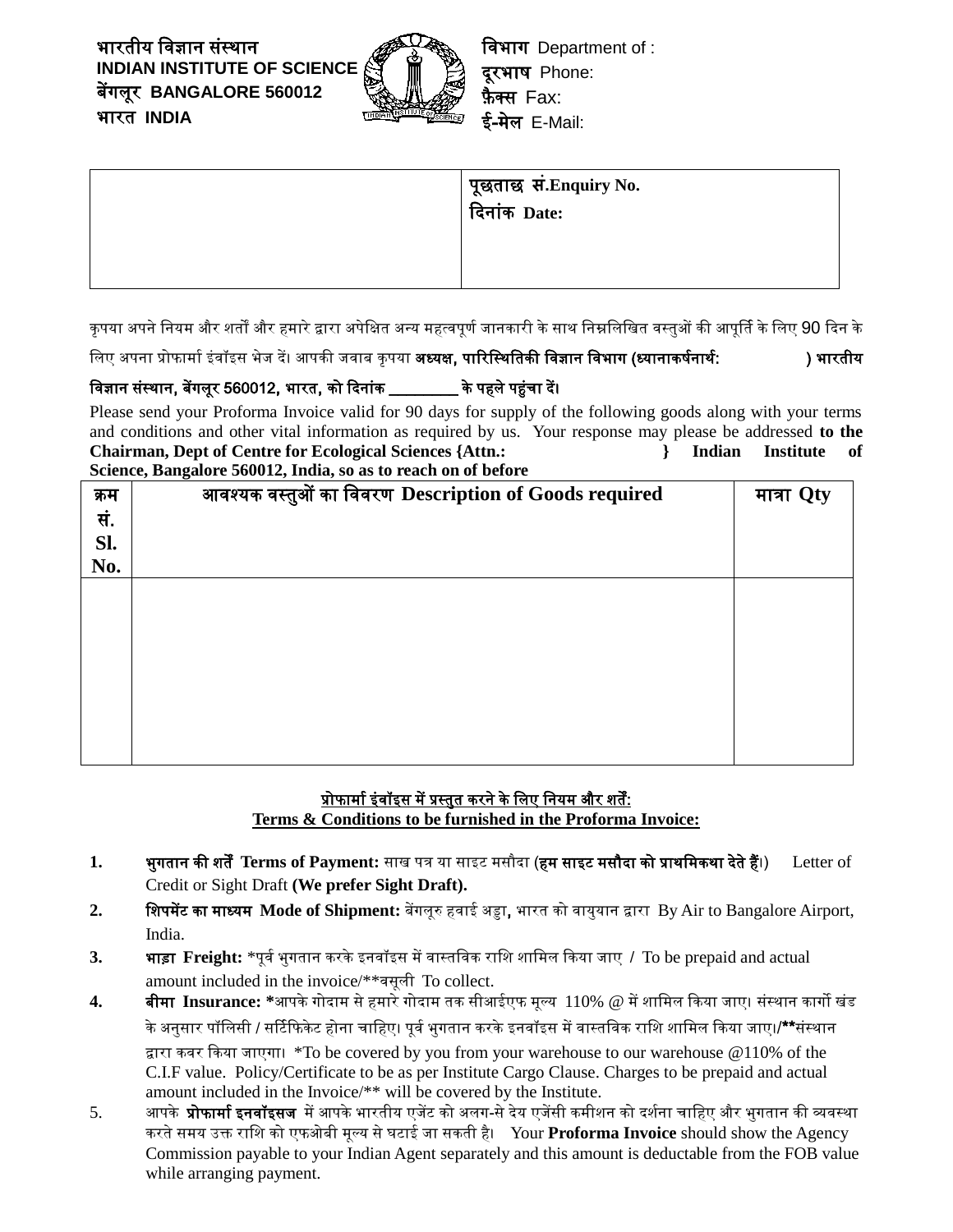भारतीय विज्ञान संस्थान **INDIAN INSTITUTE OF SCIENCE** बेंगलूर **BANGALORE 560012** भारत **INDIA**



विभाग Department of : दूरभाष Phone: फ़ैक्स Fax: ई-मेल E-Mail:

|--|

कृपया अपने नियम और शर्तों और हमारे द्वारा अपेक्षित अन्य महत्वपूर्ण जानकारी के साथ निम्नलिखित वस्तुओं की आपूर्ति के लिए 90 दिन के

लिए अपना प्रोफार्मा इंवॉइस भेज दें। आपकी जवाब कृपया **अध्यक्ष, पारिस्थितिकी विज्ञान विभाग (ध्यानाकर्षनार्थ: ) भारतीय** 

## विज्ञान संस्थान, बेंगलूर 560012, भारत, को ददनांक \_\_\_\_\_\_\_\_ के पहले पहंचा दें।

Please send your Proforma Invoice valid for 90 days for supply of the following goods along with your terms and conditions and other vital information as required by us. Your response may please be addressed to the **Chairman. Dent of Centre for Ecological Sciences** {Attn.: **Chairman, Dept of Centre for Ecological Sciences {Attn.: } Indian Institute of Science, Bangalore 560012, India, so as to reach on of before**

| क्रम              | आवश्यक वस्तुओं का विवरण Description of Goods required | मात्रा Qty |
|-------------------|-------------------------------------------------------|------------|
| सं.<br>Sl.<br>No. |                                                       |            |
|                   |                                                       |            |
|                   |                                                       |            |
|                   |                                                       |            |
|                   |                                                       |            |
|                   |                                                       |            |
|                   |                                                       |            |
|                   |                                                       |            |
|                   |                                                       |            |
|                   |                                                       |            |
|                   |                                                       |            |

## प्रोफार्मा इंवॉइस में प्रस्तुत करने के लिए नियम और शर्तें:

**Terms & Conditions to be furnished in the Proforma Invoice:**

- **1.** भुगतान की शतें**Terms of Payment:** साि पत्र या साइट मसौदा (हम साइट मसौदा को प्राथवमकथा देते हैं।) Letter of Credit or Sight Draft **(We prefer Sight Draft).**
- **2.** वशपमेंट का माध्यम **Mode of Shipment:** बेंगलूरु हिाई अड्डा, भारत को िायुयान द्वारा By Air to Bangalore Airport, India.
- **3. भाड़ा Freight:** \*पूर्व भुगतान करके इनवॉइस में वास्तविक राशि शामिल किया जाए / To be prepaid and actual amount included in the invoice/\*\*िसूली To collect.
- **4.** बीमा **Insurance: \***आपकेगोदाम सेहमारेगोदाम तक सीआईएफ मूल्य 110% @ मेंशावमल दकया जाए। संस्थान कागो िंड के अनुसार पॉलिसी / सर्टिफिकेट होना चाहिए। पूर्व भुगतान करके इनवॉइस में वास्तविक राशि शामिल किया जाए।/\*\*संस्थान द्वारा कवर किया जाएगा। \*To be covered by you from your warehouse to our warehouse @110% of the C.I.F value. Policy/Certificate to be as per Institute Cargo Clause. Charges to be prepaid and actual amount included in the Invoice/\*\* will be covered by the Institute.
- 5. आपके **प्रोफार्मा इनवॉइसज** में आपके भारतीय एजेंट को अलग-से देय एजेंसी कमीशन को दर्शना चाहिए और भुगतान की व्यवस्था करतेसमय उक्त रावश को एफओबी मूल्य सेघटाई जा सकती है। Your **Proforma Invoice** should show the Agency Commission payable to your Indian Agent separately and this amount is deductable from the FOB value while arranging payment.